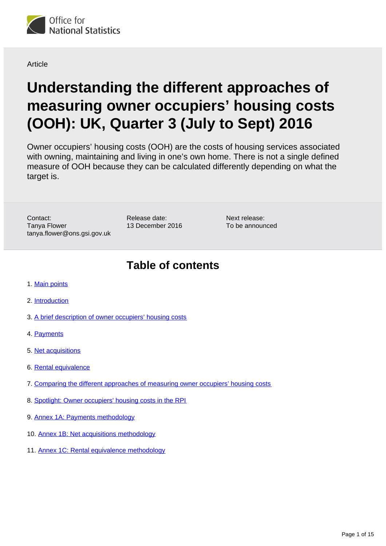

Article

# **Understanding the different approaches of measuring owner occupiers' housing costs (OOH): UK, Quarter 3 (July to Sept) 2016**

Owner occupiers' housing costs (OOH) are the costs of housing services associated with owning, maintaining and living in one's own home. There is not a single defined measure of OOH because they can be calculated differently depending on what the target is.

Contact: Tanya Flower tanya.flower@ons.gsi.gov.uk Release date: 13 December 2016

Next release: To be announced

## **Table of contents**

- 1. [Main points](#page-1-0)
- 2. [Introduction](#page-1-1)
- 3. [A brief description of owner occupiers' housing costs](#page-1-2)
- 4. [Payments](#page-1-3)
- 5. [Net acquisitions](#page-4-0)
- 6. [Rental equivalence](#page-6-0)
- 7. [Comparing the different approaches of measuring owner occupiers' housing costs](#page-7-0)
- 8. [Spotlight: Owner occupiers' housing costs in the RPI](#page-8-0)
- 9. Annex 1A: Payments methodology
- 10. Annex 1B: Net acquisitions methodology
- 11. Annex 1C: Rental equivalence methodology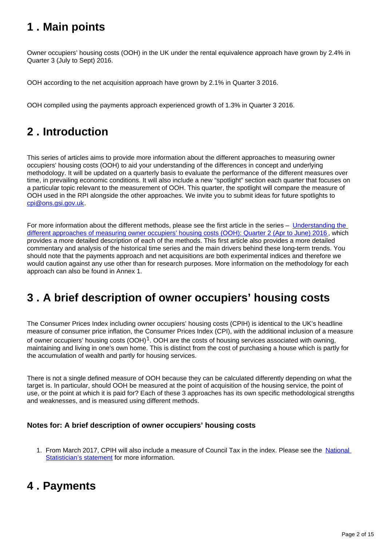## <span id="page-1-0"></span>**1 . Main points**

Owner occupiers' housing costs (OOH) in the UK under the rental equivalence approach have grown by 2.4% in Quarter 3 (July to Sept) 2016.

OOH according to the net acquisition approach have grown by 2.1% in Quarter 3 2016.

OOH compiled using the payments approach experienced growth of 1.3% in Quarter 3 2016.

## <span id="page-1-1"></span>**2 . Introduction**

This series of articles aims to provide more information about the different approaches to measuring owner occupiers' housing costs (OOH) to aid your understanding of the differences in concept and underlying methodology. It will be updated on a quarterly basis to evaluate the performance of the different measures over time, in prevailing economic conditions. It will also include a new "spotlight" section each quarter that focuses on a particular topic relevant to the measurement of OOH. This quarter, the spotlight will compare the measure of OOH used in the RPI alongside the other approaches. We invite you to submit ideas for future spotlights to cpi@ons.gsi.gov.uk.

For more information about the different methods, please see the first article in the series – [Understanding the](https://www.ons.gov.uk/economy/inflationandpriceindices/articles/understandingthedifferentapproachesofmeasuringowneroccupiershousingcosts/quarter2aprtojune2016)  [different approaches of measuring owner occupiers' housing costs \(OOH\): Quarter 2 \(Apr to June\) 2016](https://www.ons.gov.uk/economy/inflationandpriceindices/articles/understandingthedifferentapproachesofmeasuringowneroccupiershousingcosts/quarter2aprtojune2016), which provides a more detailed description of each of the methods. This first article also provides a more detailed commentary and analysis of the historical time series and the main drivers behind these long-term trends. You should note that the payments approach and net acquisitions are both experimental indices and therefore we would caution against any use other than for research purposes. More information on the methodology for each approach can also be found in Annex 1.

## <span id="page-1-2"></span>**3 . A brief description of owner occupiers' housing costs**

The Consumer Prices Index including owner occupiers' housing costs (CPIH) is identical to the UK's headline measure of consumer price inflation, the Consumer Prices Index (CPI), with the additional inclusion of a measure of owner occupiers' housing costs  $(OOH)^1$ . OOH are the costs of housing services associated with owning, maintaining and living in one's own home. This is distinct from the cost of purchasing a house which is partly for the accumulation of wealth and partly for housing services.

There is not a single defined measure of OOH because they can be calculated differently depending on what the target is. In particular, should OOH be measured at the point of acquisition of the housing service, the point of use, or the point at which it is paid for? Each of these 3 approaches has its own specific methodological strengths and weaknesses, and is measured using different methods.

#### **Notes for: A brief description of owner occupiers' housing costs**

1. From March 2017, CPIH will also include a measure of Council Tax in the index. Please see the National [Statistician's statement](https://www.ons.gov.uk/news/statementsandletters/statementonfutureofconsumerpriceinflationstatisticsintheuk) for more information.

### <span id="page-1-3"></span>**4 . Payments**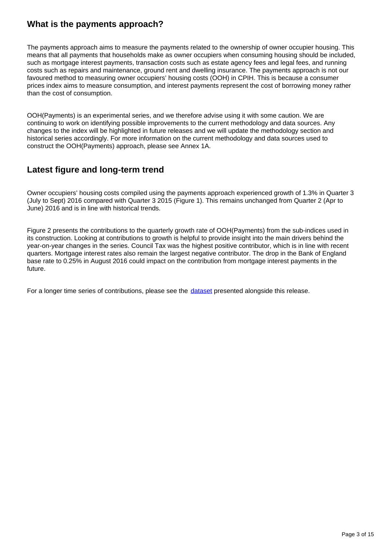### **What is the payments approach?**

The payments approach aims to measure the payments related to the ownership of owner occupier housing. This means that all payments that households make as owner occupiers when consuming housing should be included, such as mortgage interest payments, transaction costs such as estate agency fees and legal fees, and running costs such as repairs and maintenance, ground rent and dwelling insurance. The payments approach is not our favoured method to measuring owner occupiers' housing costs (OOH) in CPIH. This is because a consumer prices index aims to measure consumption, and interest payments represent the cost of borrowing money rather than the cost of consumption.

OOH(Payments) is an experimental series, and we therefore advise using it with some caution. We are continuing to work on identifying possible improvements to the current methodology and data sources. Any changes to the index will be highlighted in future releases and we will update the methodology section and historical series accordingly. For more information on the current methodology and data sources used to construct the OOH(Payments) approach, please see Annex 1A.

### **Latest figure and long-term trend**

Owner occupiers' housing costs compiled using the payments approach experienced growth of 1.3% in Quarter 3 (July to Sept) 2016 compared with Quarter 3 2015 (Figure 1). This remains unchanged from Quarter 2 (Apr to June) 2016 and is in line with historical trends.

Figure 2 presents the contributions to the quarterly growth rate of OOH(Payments) from the sub-indices used in its construction. Looking at contributions to growth is helpful to provide insight into the main drivers behind the year-on-year changes in the series. Council Tax was the highest positive contributor, which is in line with recent quarters. Mortgage interest rates also remain the largest negative contributor. The drop in the Bank of England base rate to 0.25% in August 2016 could impact on the contribution from mortgage interest payments in the future.

For a longer time series of contributions, please see the [dataset](https://www.ons.gov.uk/economy/inflationandpriceindices/datasets/understandingthedifferentapproachesofmeasuringowneroccupiershousingcosts) presented alongside this release.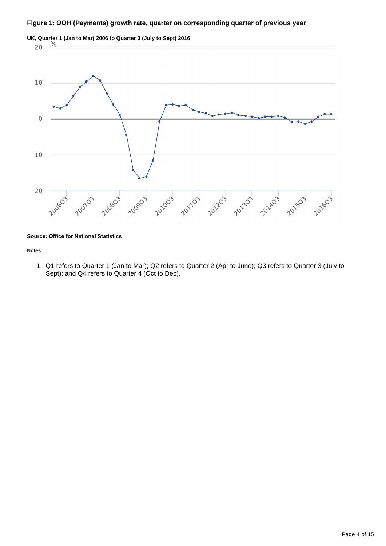#### **Figure 1: OOH (Payments) growth rate, quarter on corresponding quarter of previous year**



#### **Source: Office for National Statistics**

#### **Notes:**

1. Q1 refers to Quarter 1 (Jan to Mar); Q2 refers to Quarter 2 (Apr to June); Q3 refers to Quarter 3 (July to Sept); and Q4 refers to Quarter 4 (Oct to Dec).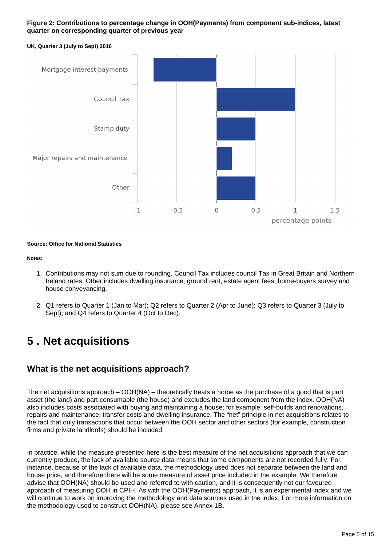#### **Figure 2: Contributions to percentage change in OOH(Payments) from component sub-indices, latest quarter on corresponding quarter of previous year**



#### **Source: Office for National Statistics**

#### **Notes:**

- 1. Contributions may not sum due to rounding. Council Tax includes council Tax in Great Britain and Northern Ireland rates. Other includes dwelling insurance, ground rent, estate agent fees, home-buyers survey and house conveyancing.
- 2. Q1 refers to Quarter 1 (Jan to Mar); Q2 refers to Quarter 2 (Apr to June); Q3 refers to Quarter 3 (July to Sept); and Q4 refers to Quarter 4 (Oct to Dec).

### <span id="page-4-0"></span>**5 . Net acquisitions**

### **What is the net acquisitions approach?**

The net acquisitions approach – OOH(NA) – theoretically treats a home as the purchase of a good that is part asset (the land) and part consumable (the house) and excludes the land component from the index. OOH(NA) also includes costs associated with buying and maintaining a house; for example, self-builds and renovations, repairs and maintenance, transfer costs and dwelling insurance. The "net" principle in net acquisitions relates to the fact that only transactions that occur between the OOH sector and other sectors (for example, construction firms and private landlords) should be included.

In practice, while the measure presented here is the best measure of the net acquisitions approach that we can currently produce, the lack of available source data means that some components are not recorded fully. For instance, because of the lack of available data, the methodology used does not separate between the land and house price, and therefore there will be some measure of asset price included in the example. We therefore advise that OOH(NA) should be used and referred to with caution, and it is consequently not our favoured approach of measuring OOH in CPIH. As with the OOH(Payments) approach, it is an experimental index and we will continue to work on improving the methodology and data sources used in the index. For more information on the methodology used to construct OOH(NA), please see Annex 1B.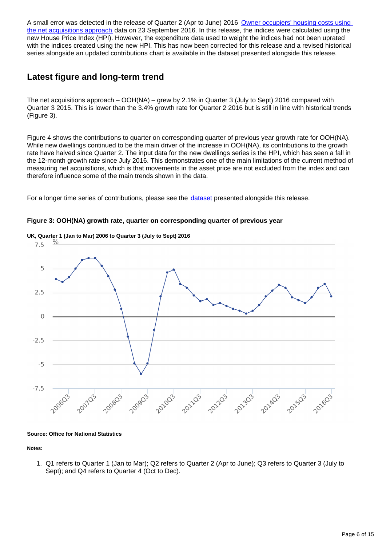A small error was detected in the release of Quarter 2 (Apr to June) 2016 Owner occupiers' housing costs using [the net acquisitions approach](http://www.ons.gov.uk/economy/inflationandpriceindices/datasets/owneroccupiershousingcostsusingthenetacquisitionsapproach) data on 23 September 2016. In this release, the indices were calculated using the new House Price Index (HPI). However, the expenditure data used to weight the indices had not been uprated with the indices created using the new HPI. This has now been corrected for this release and a revised historical series alongside an updated contributions chart is available in the dataset presented alongside this release.

### **Latest figure and long-term trend**

The net acquisitions approach – OOH(NA) – grew by 2.1% in Quarter 3 (July to Sept) 2016 compared with Quarter 3 2015. This is lower than the 3.4% growth rate for Quarter 2 2016 but is still in line with historical trends (Figure 3).

Figure 4 shows the contributions to quarter on corresponding quarter of previous year growth rate for OOH(NA). While new dwellings continued to be the main driver of the increase in OOH(NA), its contributions to the growth rate have halved since Quarter 2. The input data for the new dwellings series is the HPI, which has seen a fall in the 12-month growth rate since July 2016. This demonstrates one of the main limitations of the current method of measuring net acquisitions, which is that movements in the asset price are not excluded from the index and can therefore influence some of the main trends shown in the data.

For a longer time series of contributions, please see the [dataset](https://www.ons.gov.uk/economy/inflationandpriceindices/datasets/understandingthedifferentapproachesofmeasuringowneroccupiershousingcosts) presented alongside this release.



#### **Figure 3: OOH(NA) growth rate, quarter on corresponding quarter of previous year**

**Source: Office for National Statistics**

**Notes:**

1. Q1 refers to Quarter 1 (Jan to Mar); Q2 refers to Quarter 2 (Apr to June); Q3 refers to Quarter 3 (July to Sept); and Q4 refers to Quarter 4 (Oct to Dec).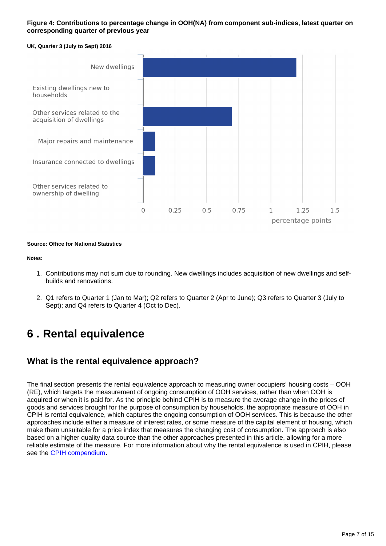#### **Figure 4: Contributions to percentage change in OOH(NA) from component sub-indices, latest quarter on corresponding quarter of previous year**

#### **UK, Quarter 3 (July to Sept) 2016**



#### **Source: Office for National Statistics**

#### **Notes:**

- 1. Contributions may not sum due to rounding. New dwellings includes acquisition of new dwellings and selfbuilds and renovations.
- 2. Q1 refers to Quarter 1 (Jan to Mar); Q2 refers to Quarter 2 (Apr to June); Q3 refers to Quarter 3 (July to Sept); and Q4 refers to Quarter 4 (Oct to Dec).

## <span id="page-6-0"></span>**6 . Rental equivalence**

### **What is the rental equivalence approach?**

The final section presents the rental equivalence approach to measuring owner occupiers' housing costs – OOH (RE), which targets the measurement of ongoing consumption of OOH services, rather than when OOH is acquired or when it is paid for. As the principle behind CPIH is to measure the average change in the prices of goods and services brought for the purpose of consumption by households, the appropriate measure of OOH in CPIH is rental equivalence, which captures the ongoing consumption of OOH services. This is because the other approaches include either a measure of interest rates, or some measure of the capital element of housing, which make them unsuitable for a price index that measures the changing cost of consumption. The approach is also based on a higher quality data source than the other approaches presented in this article, allowing for a more reliable estimate of the measure. For more information about why the rental equivalence is used in CPIH, please see the [CPIH compendium.](https://www.ons.gov.uk/economy/inflationandpriceindices/qmis/consumerpriceinflationqmi)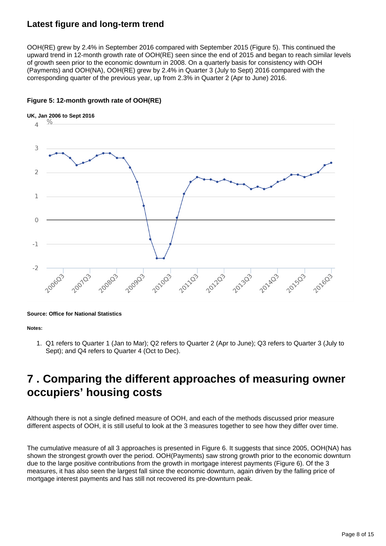### **Latest figure and long-term trend**

OOH(RE) grew by 2.4% in September 2016 compared with September 2015 (Figure 5). This continued the upward trend in 12-month growth rate of OOH(RE) seen since the end of 2015 and began to reach similar levels of growth seen prior to the economic downturn in 2008. On a quarterly basis for consistency with OOH (Payments) and OOH(NA), OOH(RE) grew by 2.4% in Quarter 3 (July to Sept) 2016 compared with the corresponding quarter of the previous year, up from 2.3% in Quarter 2 (Apr to June) 2016.



#### **Figure 5: 12-month growth rate of OOH(RE)**

#### **Source: Office for National Statistics**

#### **Notes:**

1. Q1 refers to Quarter 1 (Jan to Mar); Q2 refers to Quarter 2 (Apr to June); Q3 refers to Quarter 3 (July to Sept); and Q4 refers to Quarter 4 (Oct to Dec).

### <span id="page-7-0"></span>**7 . Comparing the different approaches of measuring owner occupiers' housing costs**

Although there is not a single defined measure of OOH, and each of the methods discussed prior measure different aspects of OOH, it is still useful to look at the 3 measures together to see how they differ over time.

The cumulative measure of all 3 approaches is presented in Figure 6. It suggests that since 2005, OOH(NA) has shown the strongest growth over the period. OOH(Payments) saw strong growth prior to the economic downturn due to the large positive contributions from the growth in mortgage interest payments (Figure 6). Of the 3 measures, it has also seen the largest fall since the economic downturn, again driven by the falling price of mortgage interest payments and has still not recovered its pre-downturn peak.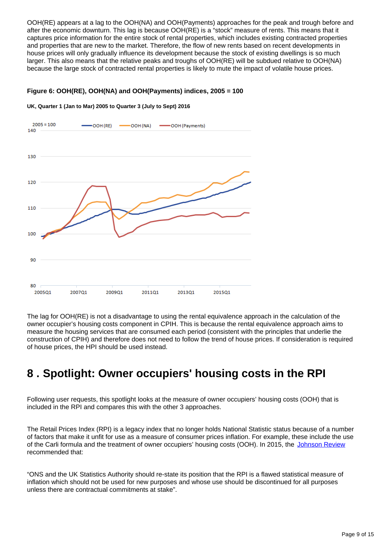OOH(RE) appears at a lag to the OOH(NA) and OOH(Payments) approaches for the peak and trough before and after the economic downturn. This lag is because OOH(RE) is a "stock" measure of rents. This means that it captures price information for the entire stock of rental properties, which includes existing contracted properties and properties that are new to the market. Therefore, the flow of new rents based on recent developments in house prices will only gradually influence its development because the stock of existing dwellings is so much larger. This also means that the relative peaks and troughs of OOH(RE) will be subdued relative to OOH(NA) because the large stock of contracted rental properties is likely to mute the impact of volatile house prices.

#### **Figure 6: OOH(RE), OOH(NA) and OOH(Payments) indices, 2005 = 100**

### $2005 = 100$ OOH (RE) OOH (NA) -OOH (Payments) 140 130 120 110 100 90 80 200501 200701 200901 201101 201301 201501

**UK, Quarter 1 (Jan to Mar) 2005 to Quarter 3 (July to Sept) 2016**

The lag for OOH(RE) is not a disadvantage to using the rental equivalence approach in the calculation of the owner occupier's housing costs component in CPIH. This is because the rental equivalence approach aims to measure the housing services that are consumed each period (consistent with the principles that underlie the construction of CPIH) and therefore does not need to follow the trend of house prices. If consideration is required of house prices, the HPI should be used instead.

## <span id="page-8-0"></span>**8 . Spotlight: Owner occupiers' housing costs in the RPI**

Following user requests, this spotlight looks at the measure of owner occupiers' housing costs (OOH) that is included in the RPI and compares this with the other 3 approaches.

The Retail Prices Index (RPI) is a legacy index that no longer holds National Statistic status because of a number of factors that make it unfit for use as a measure of consumer prices inflation. For example, these include the use of the Carli formula and the treatment of owner occupiers' housing costs (OOH). In 2015, the [Johnson Review](http://intranet.ons.statistics.gov.uk/https:/www.statisticsauthority.gov.uk/reports-and-correspondence/reviews/uk-consumer-price-statistics-a-review/) recommended that:

"ONS and the UK Statistics Authority should re-state its position that the RPI is a flawed statistical measure of inflation which should not be used for new purposes and whose use should be discontinued for all purposes unless there are contractual commitments at stake".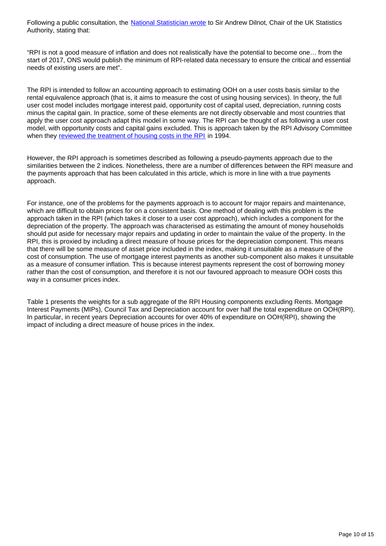Following a public consultation, the [National Statistician wrote](https://www.statisticsauthority.gov.uk/correspondence/shaping-the-future-of-consumer-inflation-statistics-in-the-uk/) to Sir Andrew Dilnot, Chair of the UK Statistics Authority, stating that:

"RPI is not a good measure of inflation and does not realistically have the potential to become one… from the start of 2017, ONS would publish the minimum of RPI-related data necessary to ensure the critical and essential needs of existing users are met".

The RPI is intended to follow an accounting approach to estimating OOH on a user costs basis similar to the rental equivalence approach (that is, it aims to measure the cost of using housing services). In theory, the full user cost model includes mortgage interest paid, opportunity cost of capital used, depreciation, running costs minus the capital gain. In practice, some of these elements are not directly observable and most countries that apply the user cost approach adapt this model in some way. The RPI can be thought of as following a user cost model, with opportunity costs and capital gains excluded. This is approach taken by the RPI Advisory Committee when they [reviewed the treatment of housing costs in the RPI](http://webarchive.nationalarchives.gov.uk/20160105160709/http:/www.ons.gov.uk/ons/guide-method/user-guidance/prices/cpi-and-rpi/rpi-advisory-committee-historic-reports-1947-1994/historic-reports-1994-cm-2717.pdf) in 1994.

However, the RPI approach is sometimes described as following a pseudo-payments approach due to the similarities between the 2 indices. Nonetheless, there are a number of differences between the RPI measure and the payments approach that has been calculated in this article, which is more in line with a true payments approach.

For instance, one of the problems for the payments approach is to account for major repairs and maintenance, which are difficult to obtain prices for on a consistent basis. One method of dealing with this problem is the approach taken in the RPI (which takes it closer to a user cost approach), which includes a component for the depreciation of the property. The approach was characterised as estimating the amount of money households should put aside for necessary major repairs and updating in order to maintain the value of the property. In the RPI, this is proxied by including a direct measure of house prices for the depreciation component. This means that there will be some measure of asset price included in the index, making it unsuitable as a measure of the cost of consumption. The use of mortgage interest payments as another sub-component also makes it unsuitable as a measure of consumer inflation. This is because interest payments represent the cost of borrowing money rather than the cost of consumption, and therefore it is not our favoured approach to measure OOH costs this way in a consumer prices index.

Table 1 presents the weights for a sub aggregate of the RPI Housing components excluding Rents. Mortgage Interest Payments (MIPs), Council Tax and Depreciation account for over half the total expenditure on OOH(RPI). In particular, in recent years Depreciation accounts for over 40% of expenditure on OOH(RPI), showing the impact of including a direct measure of house prices in the index.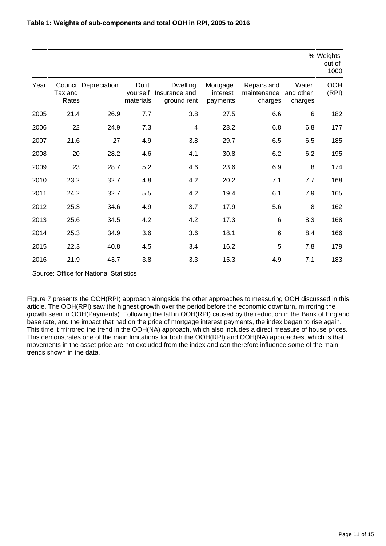|      |                  |                      |                                |                                                 |                                  |                                       |                               | % Weights<br>out of<br>1000 |
|------|------------------|----------------------|--------------------------------|-------------------------------------------------|----------------------------------|---------------------------------------|-------------------------------|-----------------------------|
| Year | Tax and<br>Rates | Council Depreciation | Do it<br>yourself<br>materials | <b>Dwelling</b><br>Insurance and<br>ground rent | Mortgage<br>interest<br>payments | Repairs and<br>maintenance<br>charges | Water<br>and other<br>charges | <b>OOH</b><br>(RPI)         |
| 2005 | 21.4             | 26.9                 | 7.7                            | 3.8                                             | 27.5                             | 6.6                                   | 6                             | 182                         |
| 2006 | 22               | 24.9                 | 7.3                            | $\overline{4}$                                  | 28.2                             | 6.8                                   | 6.8                           | 177                         |
| 2007 | 21.6             | 27                   | 4.9                            | 3.8                                             | 29.7                             | 6.5                                   | 6.5                           | 185                         |
| 2008 | 20               | 28.2                 | 4.6                            | 4.1                                             | 30.8                             | 6.2                                   | 6.2                           | 195                         |
| 2009 | 23               | 28.7                 | 5.2                            | 4.6                                             | 23.6                             | 6.9                                   | 8                             | 174                         |
| 2010 | 23.2             | 32.7                 | 4.8                            | 4.2                                             | 20.2                             | 7.1                                   | 7.7                           | 168                         |
| 2011 | 24.2             | 32.7                 | 5.5                            | 4.2                                             | 19.4                             | 6.1                                   | 7.9                           | 165                         |
| 2012 | 25.3             | 34.6                 | 4.9                            | 3.7                                             | 17.9                             | 5.6                                   | 8                             | 162                         |
| 2013 | 25.6             | 34.5                 | 4.2                            | 4.2                                             | 17.3                             | 6                                     | 8.3                           | 168                         |
| 2014 | 25.3             | 34.9                 | 3.6                            | 3.6                                             | 18.1                             | 6                                     | 8.4                           | 166                         |
| 2015 | 22.3             | 40.8                 | 4.5                            | 3.4                                             | 16.2                             | 5                                     | 7.8                           | 179                         |
| 2016 | 21.9             | 43.7                 | 3.8                            | 3.3                                             | 15.3                             | 4.9                                   | 7.1                           | 183                         |

Source: Office for National Statistics

Figure 7 presents the OOH(RPI) approach alongside the other approaches to measuring OOH discussed in this article. The OOH(RPI) saw the highest growth over the period before the economic downturn, mirroring the growth seen in OOH(Payments). Following the fall in OOH(RPI) caused by the reduction in the Bank of England base rate, and the impact that had on the price of mortgage interest payments, the index began to rise again. This time it mirrored the trend in the OOH(NA) approach, which also includes a direct measure of house prices. This demonstrates one of the main limitations for both the OOH(RPI) and OOH(NA) approaches, which is that movements in the asset price are not excluded from the index and can therefore influence some of the main trends shown in the data.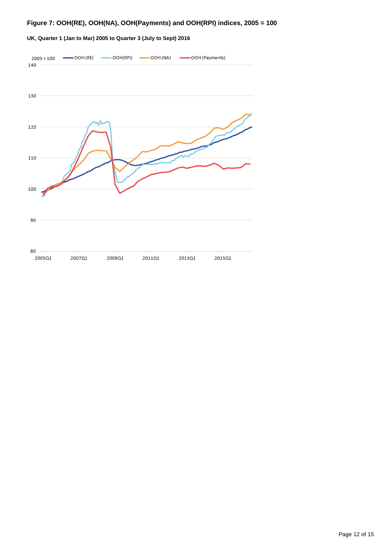### **Figure 7: OOH(RE), OOH(NA), OOH(Payments) and OOH(RPI) indices, 2005 = 100**



#### **UK, Quarter 1 (Jan to Mar) 2005 to Quarter 3 (July to Sept) 2016**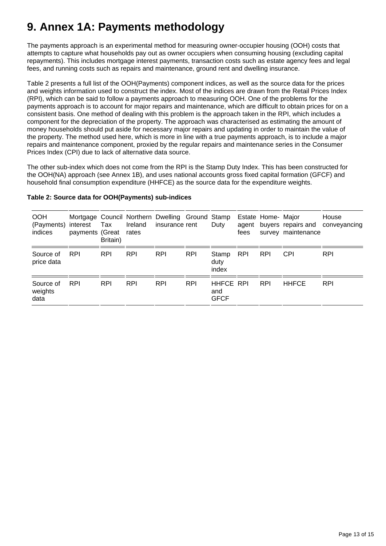## **9. Annex 1A: Payments methodology**

The payments approach is an experimental method for measuring owner-occupier housing (OOH) costs that attempts to capture what households pay out as owner occupiers when consuming housing (excluding capital repayments). This includes mortgage interest payments, transaction costs such as estate agency fees and legal fees, and running costs such as repairs and maintenance, ground rent and dwelling insurance.

Table 2 presents a full list of the OOH(Payments) component indices, as well as the source data for the prices and weights information used to construct the index. Most of the indices are drawn from the Retail Prices Index (RPI), which can be said to follow a payments approach to measuring OOH. One of the problems for the payments approach is to account for major repairs and maintenance, which are difficult to obtain prices for on a consistent basis. One method of dealing with this problem is the approach taken in the RPI, which includes a component for the depreciation of the property. The approach was characterised as estimating the amount of money households should put aside for necessary major repairs and updating in order to maintain the value of the property. The method used here, which is more in line with a true payments approach, is to include a major repairs and maintenance component, proxied by the regular repairs and maintenance series in the Consumer Prices Index (CPI) due to lack of alternative data source.

The other sub-index which does not come from the RPI is the Stamp Duty Index. This has been constructed for the OOH(NA) approach (see Annex 1B), and uses national accounts gross fixed capital formation (GFCF) and household final consumption expenditure (HHFCE) as the source data for the expenditure weights.

| <b>OOH</b><br>(Payments) interest<br>indices | payments (Great | Tax<br>Britain) | Ireland<br>rates | Mortgage Council Northern Dwelling Ground Stamp<br>insurance rent |            | Duty                                   | fees       | Estate Home- Major | survey maintenance | House<br>agent buyers repairs and conveyancing |
|----------------------------------------------|-----------------|-----------------|------------------|-------------------------------------------------------------------|------------|----------------------------------------|------------|--------------------|--------------------|------------------------------------------------|
| Source of<br>price data                      | <b>RPI</b>      | <b>RPI</b>      | <b>RPI</b>       | <b>RPI</b>                                                        | <b>RPI</b> | Stamp<br>duty<br>index                 | <b>RPI</b> | <b>RPI</b>         | <b>CPI</b>         | <b>RPI</b>                                     |
| Source of<br>weights<br>data                 | <b>RPI</b>      | <b>RPI</b>      | <b>RPI</b>       | <b>RPI</b>                                                        | <b>RPI</b> | <b>HHFCE RPI</b><br>and<br><b>GFCF</b> |            | <b>RPI</b>         | <b>HHFCE</b>       | <b>RPI</b>                                     |

#### **Table 2: Source data for OOH(Payments) sub-indices**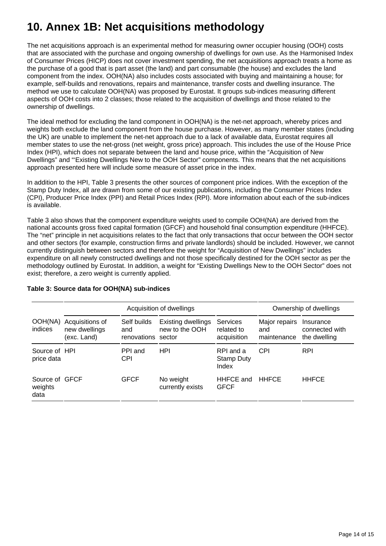## **10. Annex 1B: Net acquisitions methodology**

The net acquisitions approach is an experimental method for measuring owner occupier housing (OOH) costs that are associated with the purchase and ongoing ownership of dwellings for own use. As the Harmonised Index of Consumer Prices (HICP) does not cover investment spending, the net acquisitions approach treats a home as the purchase of a good that is part asset (the land) and part consumable (the house) and excludes the land component from the index. OOH(NA) also includes costs associated with buying and maintaining a house; for example, self-builds and renovations, repairs and maintenance, transfer costs and dwelling insurance. The method we use to calculate OOH(NA) was proposed by Eurostat. It groups sub-indices measuring different aspects of OOH costs into 2 classes; those related to the acquisition of dwellings and those related to the ownership of dwellings.

The ideal method for excluding the land component in OOH(NA) is the net-net approach, whereby prices and weights both exclude the land component from the house purchase. However, as many member states (including the UK) are unable to implement the net-net approach due to a lack of available data, Eurostat requires all member states to use the net-gross (net weight, gross price) approach. This includes the use of the House Price Index (HPI), which does not separate between the land and house price, within the "Acquisition of New Dwellings" and "'Existing Dwellings New to the OOH Sector" components. This means that the net acquisitions approach presented here will include some measure of asset price in the index.

In addition to the HPI, Table 3 presents the other sources of component price indices. With the exception of the Stamp Duty Index, all are drawn from some of our existing publications, including the Consumer Prices Index (CPI), Producer Price Index (PPI) and Retail Prices Index (RPI). More information about each of the sub-indices is available.

Table 3 also shows that the component expenditure weights used to compile OOH(NA) are derived from the national accounts gross fixed capital formation (GFCF) and household final consumption expenditure (HHFCE). The "net" principle in net acquisitions relates to the fact that only transactions that occur between the OOH sector and other sectors (for example, construction firms and private landlords) should be included. However, we cannot currently distinguish between sectors and therefore the weight for "Acquisition of New Dwellings" includes expenditure on all newly constructed dwellings and not those specifically destined for the OOH sector as per the methodology outlined by Eurostat. In addition, a weight for "Existing Dwellings New to the OOH Sector" does not exist; therefore, a zero weight is currently applied.

|                                   |                                                 | Acquisition of dwellings                 | Ownership of dwellings                      |                                         |                                     |                                             |
|-----------------------------------|-------------------------------------------------|------------------------------------------|---------------------------------------------|-----------------------------------------|-------------------------------------|---------------------------------------------|
| OOH(NA)<br>indices                | Acquisitions of<br>new dwellings<br>(exc. Land) | Self builds<br>and<br>renovations sector | <b>Existing dwellings</b><br>new to the OOH | Services<br>related to<br>acquisition   | Major repairs<br>and<br>maintenance | Insurance<br>connected with<br>the dwelling |
| Source of HPI<br>price data       |                                                 | PPI and<br><b>CPI</b>                    | HPI                                         | RPI and a<br><b>Stamp Duty</b><br>Index | <b>CPI</b>                          | <b>RPI</b>                                  |
| Source of GFCF<br>weights<br>data |                                                 | <b>GFCF</b>                              | No weight<br>currently exists               | HHFCE and<br><b>GFCF</b>                | <b>HHFCE</b>                        | <b>HHFCE</b>                                |

#### **Table 3: Source data for OOH(NA) sub-indices**